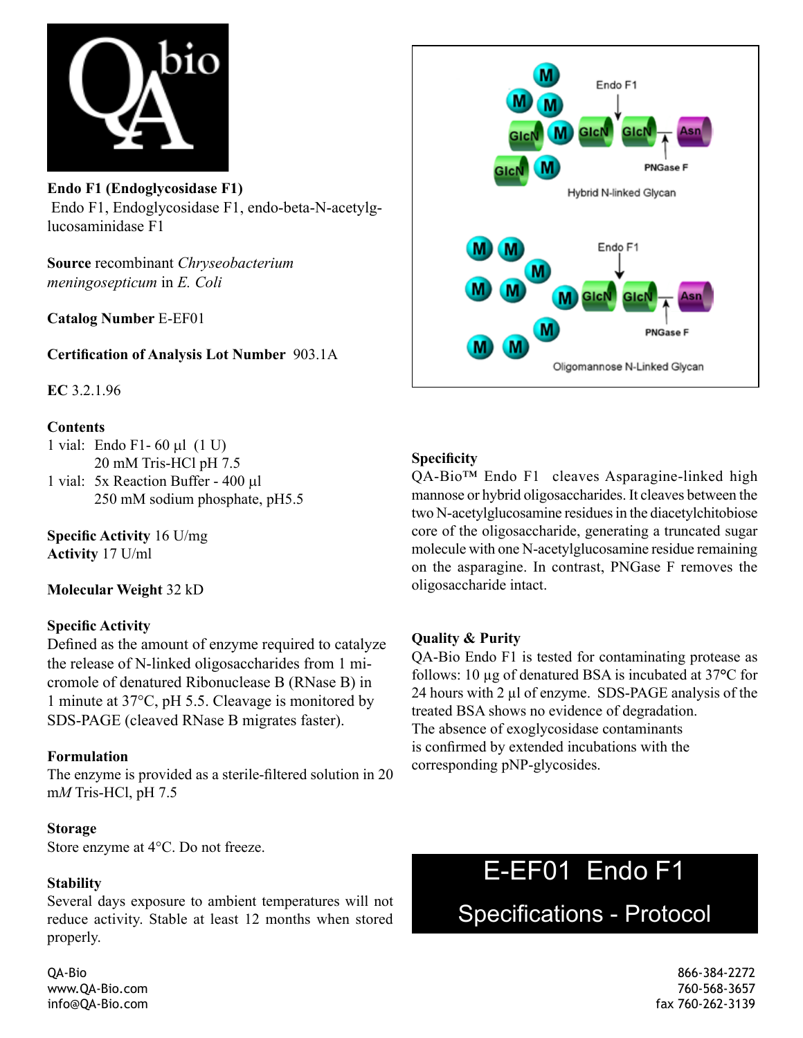

**Endo F1 (Endoglycosidase F1)**  Endo F1, Endoglycosidase F1, endo-beta-N-acetylglucosaminidase F1

**Source** recombinant *Chryseobacterium meningosepticum* in *E. Coli*

**Catalog Number** E-EF01

**Certification of Analysis Lot Number** 903.1A

**EC** 3.2.1.96

#### **Contents**

- 1 vial: Endo F1- 60 µl (1 U) 20 mM Tris-HCl pH 7.5
- 1 vial: 5x Reaction Buffer 400 µl 250 mM sodium phosphate, pH5.5

**Specific Activity** 16 U/mg **Activity** 17 U/ml

**Molecular Weight** 32 kD

### **Specific Activity**

Defined as the amount of enzyme required to catalyze the release of N-linked oligosaccharides from 1 micromole of denatured Ribonuclease B (RNase B) in 1 minute at 37°C, pH 5.5. Cleavage is monitored by SDS-PAGE (cleaved RNase B migrates faster).

### **Formulation**

The enzyme is provided as a sterile-filtered solution in 20 m*M* Tris-HCl, pH 7.5

#### **Storage**

Store enzyme at 4°C. Do not freeze.

### **Stability**

Several days exposure to ambient temperatures will not reduce activity. Stable at least 12 months when stored properly.



## **Specificity**

QA-Bio™ Endo F1 cleaves Asparagine-linked high mannose or hybrid oligosaccharides. It cleaves between the two N-acetylglucosamine residues in the diacetylchitobiose core of the oligosaccharide, generating a truncated sugar molecule with one N-acetylglucosamine residue remaining on the asparagine. In contrast, PNGase F removes the oligosaccharide intact.

### **Quality & Purity**

QA-Bio Endo F1 is tested for contaminating protease as follows: 10 µg of denatured BSA is incubated at 37**°**C for 24 hours with 2 µl of enzyme. SDS-PAGE analysis of the treated BSA shows no evidence of degradation. The absence of exoglycosidase contaminants is confirmed by extended incubations with the corresponding pNP-glycosides.

# E-EF01 Endo F1

Specifications - Protocol

QA-Bio 866-384-2272 www.QA-Bio.com 760-568-3657 info@QA-Bio.com fax 760-262-3139